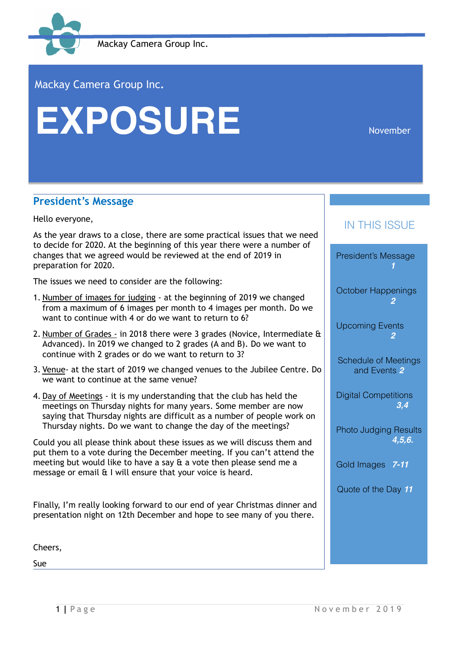

Mackay Camera Group Inc.

#### Mackay Camera Group Inc**.**

# EXPOSURE

## **President's Message**

Hello everyone,

As the year draws to a close, there are some practical issues that we need to decide for 2020. At the beginning of this year there were a number of changes that we agreed would be reviewed at the end of 2019 in preparation for 2020.

The issues we need to consider are the following:

- 1. Number of images for judging at the beginning of 2019 we changed from a maximum of 6 images per month to 4 images per month. Do we want to continue with 4 or do we want to return to 6?
- 2. Number of Grades in 2018 there were 3 grades (Novice, Intermediate & Advanced). In 2019 we changed to 2 grades (A and B). Do we want to continue with 2 grades or do we want to return to 3?
- 3. Venue- at the start of 2019 we changed venues to the Jubilee Centre. Do we want to continue at the same venue?
- 4. Day of Meetings it is my understanding that the club has held the meetings on Thursday nights for many years. Some member are now saying that Thursday nights are difficult as a number of people work on Thursday nights. Do we want to change the day of the meetings?

Could you all please think about these issues as we will discuss them and put them to a vote during the December meeting. If you can't attend the meeting but would like to have a say & a vote then please send me a message or email & I will ensure that your voice is heard.

Finally, I'm really looking forward to our end of year Christmas dinner and presentation night on 12th December and hope to see many of you there.

Cheers,

Sue

#### IN THIS ISSUE

President's Message *1* October Happenings *2* Upcoming Events *2* Schedule of Meetings and Events *2* Digital Competitions *3,4* Photo Judging Results *4,5,6.*  Gold Images *7-11* Quote of the Day *11*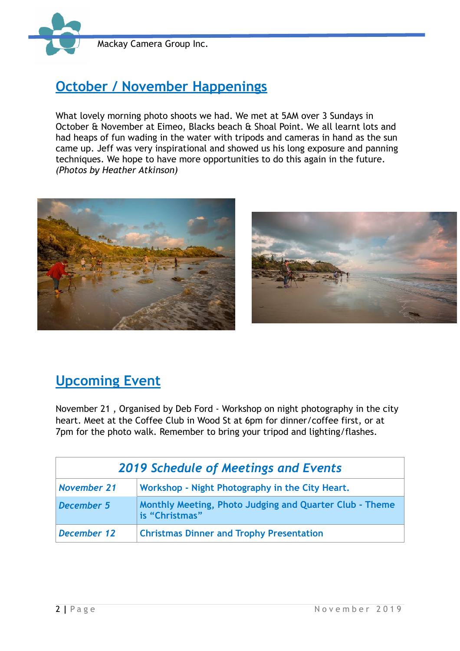

# **October / November Happenings**

What lovely morning photo shoots we had. We met at 5AM over 3 Sundays in October & November at Eimeo, Blacks beach & Shoal Point. We all learnt lots and had heaps of fun wading in the water with tripods and cameras in hand as the sun came up. Jeff was very inspirational and showed us his long exposure and panning techniques. We hope to have more opportunities to do this again in the future. *(Photos by Heather Atkinson)* 





## **Upcoming Event**

November 21 , Organised by Deb Ford - Workshop on night photography in the city heart. Meet at the Coffee Club in Wood St at 6pm for dinner/coffee first, or at 7pm for the photo walk. Remember to bring your tripod and lighting/flashes.

| <b>2019 Schedule of Meetings and Events</b> |                                                                           |
|---------------------------------------------|---------------------------------------------------------------------------|
| <b>November 21</b>                          | Workshop - Night Photography in the City Heart.                           |
| December 5                                  | Monthly Meeting, Photo Judging and Quarter Club - Theme<br>is "Christmas" |
| December 12                                 | <b>Christmas Dinner and Trophy Presentation</b>                           |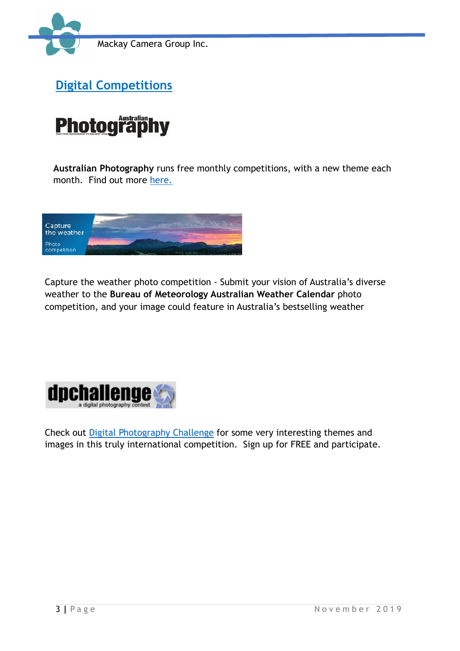





**Australian Photography** runs free monthly competitions, with a new theme each month. Find out more here.



Capture the weather photo competition - Submit your vision of Australia's diverse weather to the **Bureau of Meteorology Australian Weather Calendar** photo competition, and your image could feature in Australia's bestselling weather



Check out Digital Photography Challenge for some very interesting themes and images in this truly international competition. Sign up for FREE and participate.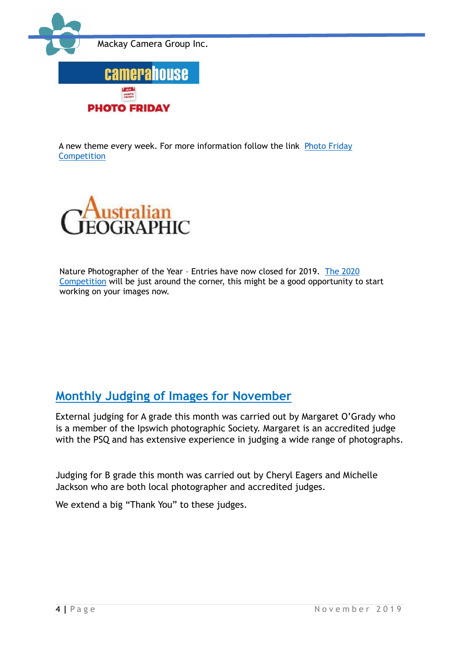

A new theme every week. For more information follow the link Photo Friday **Competition** 



Nature Photographer of the Year – Entries have now closed for 2019. The 2020 Competition will be just around the corner, this might be a good opportunity to start working on your images now.

## **Monthly Judging of Images for November**

External judging for A grade this month was carried out by Margaret O'Grady who is a member of the Ipswich photographic Society. Margaret is an accredited judge with the PSQ and has extensive experience in judging a wide range of photographs.

Judging for B grade this month was carried out by Cheryl Eagers and Michelle Jackson who are both local photographer and accredited judges.

We extend a big "Thank You" to these judges.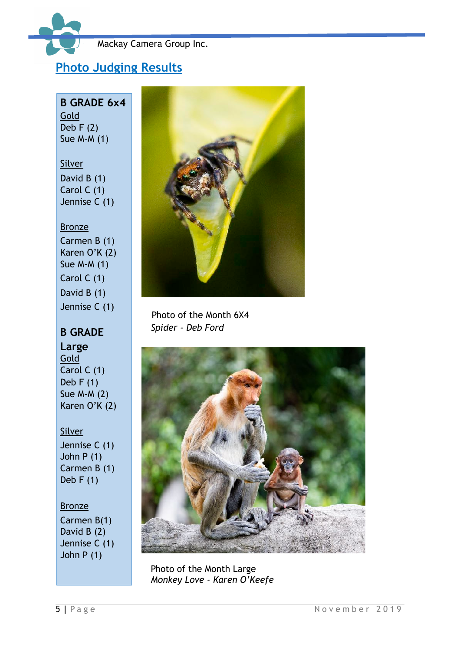Mackay Camera Group Inc.

### **Photo Judging Results**

**B GRADE 6x4 Gold** Deb F (2) Sue M-M (1)

Silver David B (1) Carol C (1) Jennise C (1)

#### Bronze

Carmen B (1) Karen O'K (2) Sue M-M (1) Carol C (1) David B (1) Jennise C (1)

#### **B GRADE**

**Large Gold** Carol C (1) Deb  $F(1)$ Sue M-M (2) Karen O'K (2)

#### **Silver**

Jennise C (1) John P (1) Carmen B (1) Deb  $F(1)$ 

#### **Bronze**

Carmen B(1) David B (2) Jennise C (1) John P (1)



Photo of the Month 6X4  *Spider - Deb Ford* 



Photo of the Month Large *Monkey Love - Karen O'Keefe*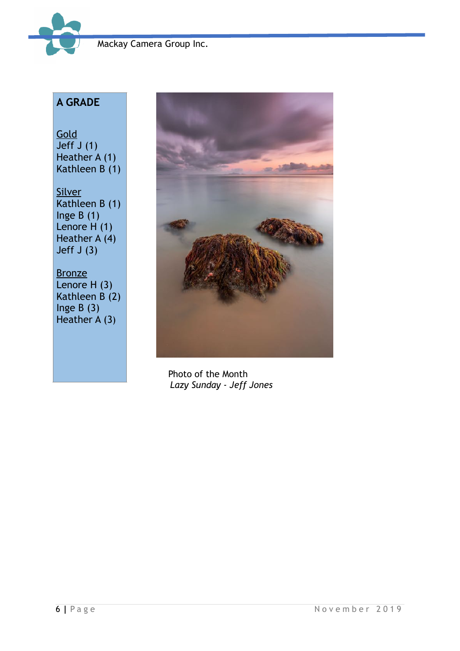

Mackay Camera Group Inc.

## **A GRADE**

**Gold**  $\overline{\mathsf{Jeff}}$  J (1) Heather A (1) Kathleen B (1)

Silver Kathleen B (1) Inge  $B(1)$ Lenore  $H(1)$ Heather  $\overrightarrow{A(4)}$ Jeff J (3)

**Bronze** Lenore H (3) Kathleen B (2) Inge  $B(3)$ Heather  $A(3)$ 



 Photo of the Month *Lazy Sunday - Jeff Jones*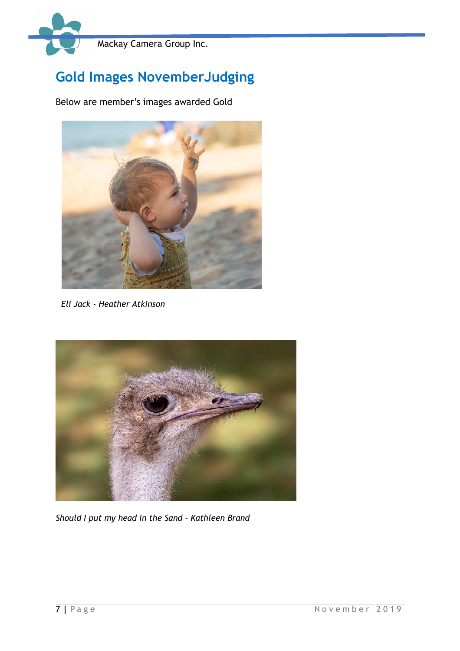

# **Gold Images NovemberJudging**

Below are member's images awarded Gold



 *Eli Jack - Heather Atkinson*



*Should I put my head in the Sand - Kathleen Brand*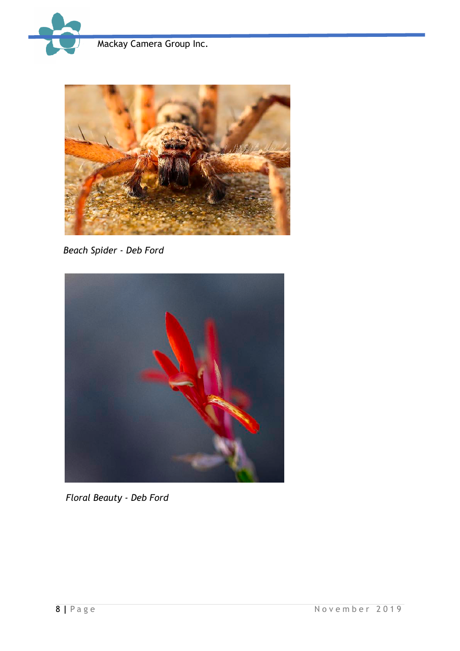



*Beach Spider - Deb Ford*



 *Floral Beauty - Deb Ford*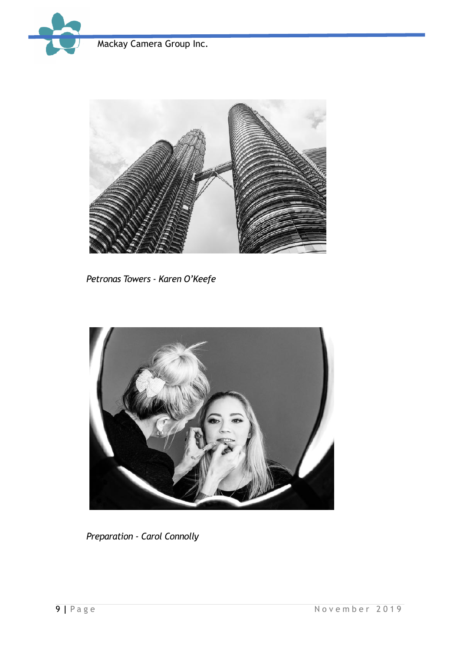



 *Petronas Towers - Karen O'Keefe*



 *Preparation - Carol Connolly*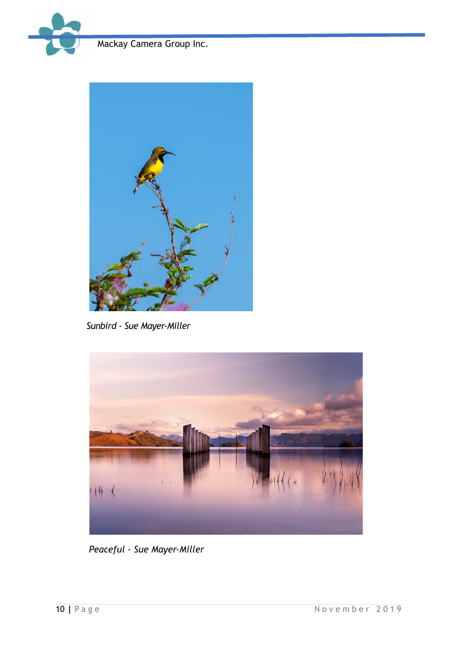



*Sunbird - Sue Mayer-Miller* 



*Peaceful - Sue Mayer-Miller*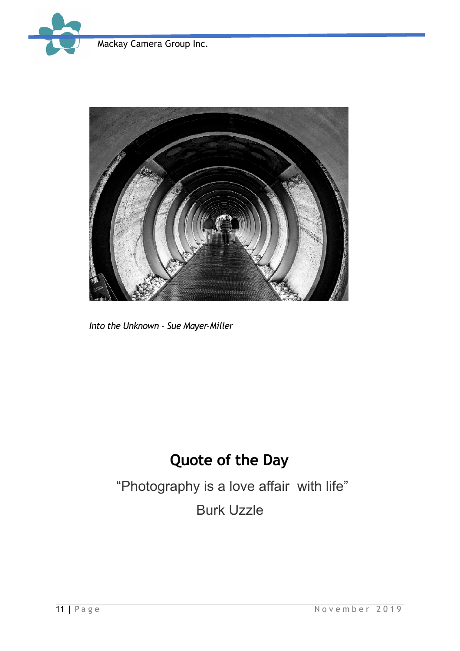



 *Into the Unknown - Sue Mayer-Miller*

# **Quote of the Day**

"Photography is a love affair with life" Burk Uzzle